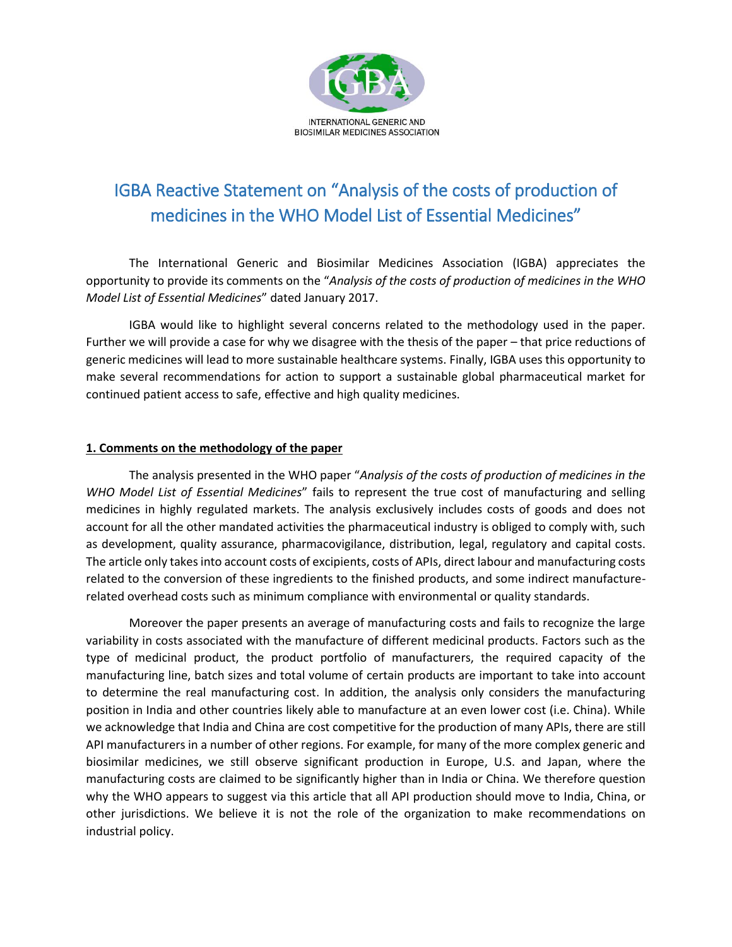

## IGBA Reactive Statement on "Analysis of the costs of production of medicines in the WHO Model List of Essential Medicines"

The International Generic and Biosimilar Medicines Association (IGBA) appreciates the opportunity to provide its comments on the "*Analysis of the costs of production of medicines in the WHO Model List of Essential Medicines*" dated January 2017.

IGBA would like to highlight several concerns related to the methodology used in the paper. Further we will provide a case for why we disagree with the thesis of the paper – that price reductions of generic medicines will lead to more sustainable healthcare systems. Finally, IGBA uses this opportunity to make several recommendations for action to support a sustainable global pharmaceutical market for continued patient access to safe, effective and high quality medicines.

## **1. Comments on the methodology of the paper**

The analysis presented in the WHO paper "*Analysis of the costs of production of medicines in the WHO Model List of Essential Medicines*" fails to represent the true cost of manufacturing and selling medicines in highly regulated markets. The analysis exclusively includes costs of goods and does not account for all the other mandated activities the pharmaceutical industry is obliged to comply with, such as development, quality assurance, pharmacovigilance, distribution, legal, regulatory and capital costs. The article only takes into account costs of excipients, costs of APIs, direct labour and manufacturing costs related to the conversion of these ingredients to the finished products, and some indirect manufacturerelated overhead costs such as minimum compliance with environmental or quality standards.

Moreover the paper presents an average of manufacturing costs and fails to recognize the large variability in costs associated with the manufacture of different medicinal products. Factors such as the type of medicinal product, the product portfolio of manufacturers, the required capacity of the manufacturing line, batch sizes and total volume of certain products are important to take into account to determine the real manufacturing cost. In addition, the analysis only considers the manufacturing position in India and other countries likely able to manufacture at an even lower cost (i.e. China). While we acknowledge that India and China are cost competitive for the production of many APIs, there are still API manufacturers in a number of other regions. For example, for many of the more complex generic and biosimilar medicines, we still observe significant production in Europe, U.S. and Japan, where the manufacturing costs are claimed to be significantly higher than in India or China. We therefore question why the WHO appears to suggest via this article that all API production should move to India, China, or other jurisdictions. We believe it is not the role of the organization to make recommendations on industrial policy.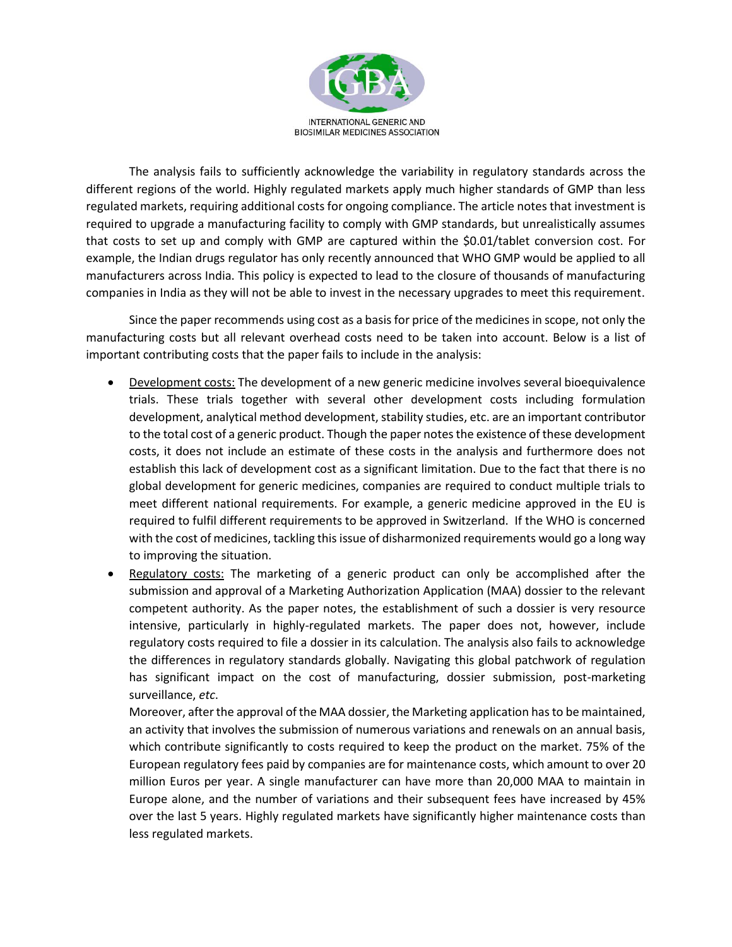

The analysis fails to sufficiently acknowledge the variability in regulatory standards across the different regions of the world. Highly regulated markets apply much higher standards of GMP than less regulated markets, requiring additional costs for ongoing compliance. The article notes that investment is required to upgrade a manufacturing facility to comply with GMP standards, but unrealistically assumes that costs to set up and comply with GMP are captured within the \$0.01/tablet conversion cost. For example, the Indian drugs regulator has only recently announced that WHO GMP would be applied to all manufacturers across India. This policy is expected to lead to the closure of thousands of manufacturing companies in India as they will not be able to invest in the necessary upgrades to meet this requirement.

Since the paper recommends using cost as a basis for price of the medicines in scope, not only the manufacturing costs but all relevant overhead costs need to be taken into account. Below is a list of important contributing costs that the paper fails to include in the analysis:

- Development costs: The development of a new generic medicine involves several bioequivalence trials. These trials together with several other development costs including formulation development, analytical method development, stability studies, etc. are an important contributor to the total cost of a generic product. Though the paper notes the existence of these development costs, it does not include an estimate of these costs in the analysis and furthermore does not establish this lack of development cost as a significant limitation. Due to the fact that there is no global development for generic medicines, companies are required to conduct multiple trials to meet different national requirements. For example, a generic medicine approved in the EU is required to fulfil different requirements to be approved in Switzerland. If the WHO is concerned with the cost of medicines, tackling this issue of disharmonized requirements would go a long way to improving the situation.
- Regulatory costs: The marketing of a generic product can only be accomplished after the submission and approval of a Marketing Authorization Application (MAA) dossier to the relevant competent authority. As the paper notes, the establishment of such a dossier is very resource intensive, particularly in highly-regulated markets. The paper does not, however, include regulatory costs required to file a dossier in its calculation. The analysis also fails to acknowledge the differences in regulatory standards globally. Navigating this global patchwork of regulation has significant impact on the cost of manufacturing, dossier submission, post-marketing surveillance, *etc*.

Moreover, after the approval of the MAA dossier, the Marketing application has to be maintained, an activity that involves the submission of numerous variations and renewals on an annual basis, which contribute significantly to costs required to keep the product on the market. 75% of the European regulatory fees paid by companies are for maintenance costs, which amount to over 20 million Euros per year. A single manufacturer can have more than 20,000 MAA to maintain in Europe alone, and the number of variations and their subsequent fees have increased by 45% over the last 5 years. Highly regulated markets have significantly higher maintenance costs than less regulated markets.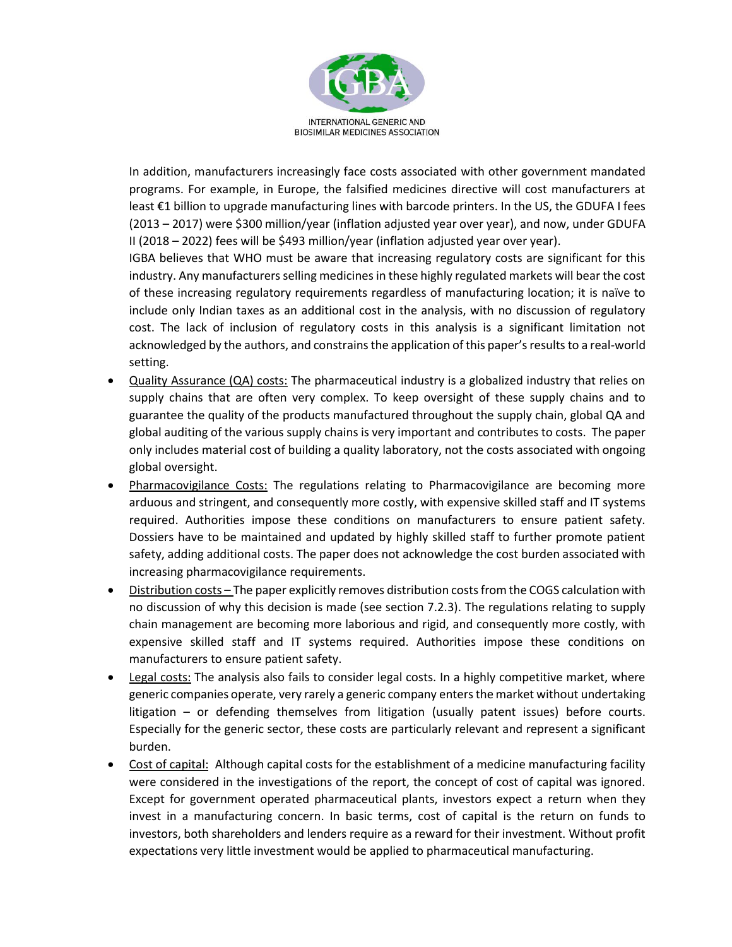

In addition, manufacturers increasingly face costs associated with other government mandated programs. For example, in Europe, the falsified medicines directive will cost manufacturers at least €1 billion to upgrade manufacturing lines with barcode printers. In the US, the GDUFA I fees (2013 – 2017) were \$300 million/year (inflation adjusted year over year), and now, under GDUFA II (2018 – 2022) fees will be \$493 million/year (inflation adjusted year over year).

IGBA believes that WHO must be aware that increasing regulatory costs are significant for this industry. Any manufacturers selling medicines in these highly regulated markets will bear the cost of these increasing regulatory requirements regardless of manufacturing location; it is naïve to include only Indian taxes as an additional cost in the analysis, with no discussion of regulatory cost. The lack of inclusion of regulatory costs in this analysis is a significant limitation not acknowledged by the authors, and constrains the application of this paper's results to a real-world setting.

- Quality Assurance (QA) costs: The pharmaceutical industry is a globalized industry that relies on supply chains that are often very complex. To keep oversight of these supply chains and to guarantee the quality of the products manufactured throughout the supply chain, global QA and global auditing of the various supply chains is very important and contributes to costs. The paper only includes material cost of building a quality laboratory, not the costs associated with ongoing global oversight.
- Pharmacovigilance Costs: The regulations relating to Pharmacovigilance are becoming more arduous and stringent, and consequently more costly, with expensive skilled staff and IT systems required. Authorities impose these conditions on manufacturers to ensure patient safety. Dossiers have to be maintained and updated by highly skilled staff to further promote patient safety, adding additional costs. The paper does not acknowledge the cost burden associated with increasing pharmacovigilance requirements.
- Distribution costs The paper explicitly removes distribution costs from the COGS calculation with no discussion of why this decision is made (see section 7.2.3). The regulations relating to supply chain management are becoming more laborious and rigid, and consequently more costly, with expensive skilled staff and IT systems required. Authorities impose these conditions on manufacturers to ensure patient safety.
- Legal costs: The analysis also fails to consider legal costs. In a highly competitive market, where generic companies operate, very rarely a generic company enters the market without undertaking litigation – or defending themselves from litigation (usually patent issues) before courts. Especially for the generic sector, these costs are particularly relevant and represent a significant burden.
- Cost of capital: Although capital costs for the establishment of a medicine manufacturing facility were considered in the investigations of the report, the concept of cost of capital was ignored. Except for government operated pharmaceutical plants, investors expect a return when they invest in a manufacturing concern. In basic terms, cost of capital is the return on funds to investors, both shareholders and lenders require as a reward for their investment. Without profit expectations very little investment would be applied to pharmaceutical manufacturing.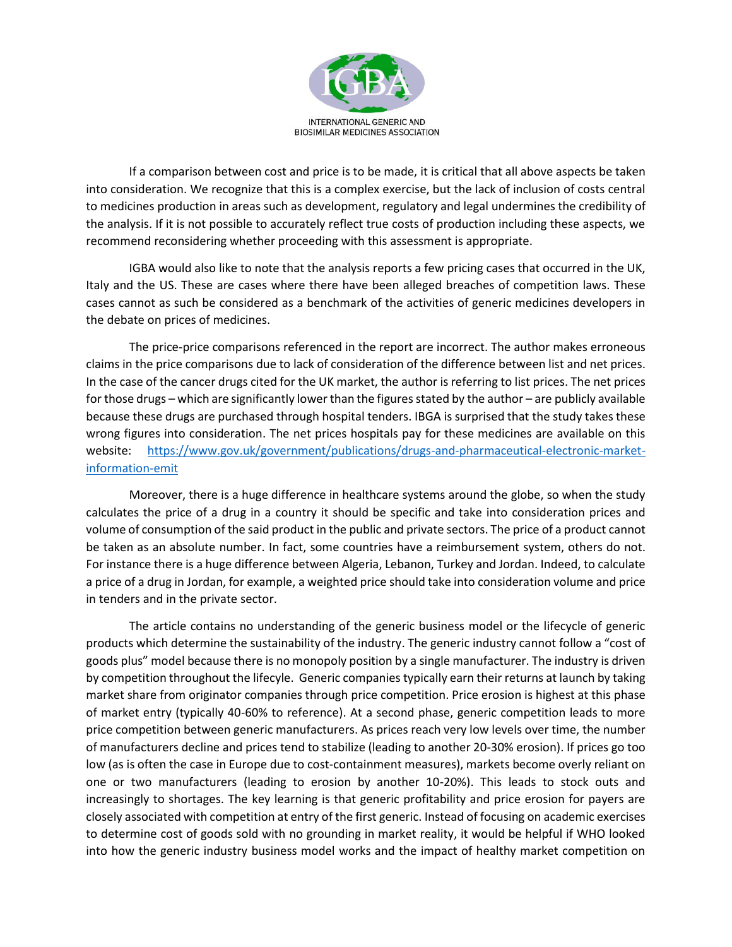

If a comparison between cost and price is to be made, it is critical that all above aspects be taken into consideration. We recognize that this is a complex exercise, but the lack of inclusion of costs central to medicines production in areas such as development, regulatory and legal undermines the credibility of the analysis. If it is not possible to accurately reflect true costs of production including these aspects, we recommend reconsidering whether proceeding with this assessment is appropriate.

IGBA would also like to note that the analysis reports a few pricing cases that occurred in the UK, Italy and the US. These are cases where there have been alleged breaches of competition laws. These cases cannot as such be considered as a benchmark of the activities of generic medicines developers in the debate on prices of medicines.

The price-price comparisons referenced in the report are incorrect. The author makes erroneous claims in the price comparisons due to lack of consideration of the difference between list and net prices. In the case of the cancer drugs cited for the UK market, the author is referring to list prices. The net prices for those drugs – which are significantly lower than the figures stated by the author – are publicly available because these drugs are purchased through hospital tenders. IBGA is surprised that the study takes these wrong figures into consideration. The net prices hospitals pay for these medicines are available on this website: [https://www.gov.uk/government/publications/drugs-and-pharmaceutical-electronic-market](https://www.gov.uk/government/publications/drugs-and-pharmaceutical-electronic-market-information-emit)[information-emit](https://www.gov.uk/government/publications/drugs-and-pharmaceutical-electronic-market-information-emit)

Moreover, there is a huge difference in healthcare systems around the globe, so when the study calculates the price of a drug in a country it should be specific and take into consideration prices and volume of consumption of the said product in the public and private sectors. The price of a product cannot be taken as an absolute number. In fact, some countries have a reimbursement system, others do not. For instance there is a huge difference between Algeria, Lebanon, Turkey and Jordan. Indeed, to calculate a price of a drug in Jordan, for example, a weighted price should take into consideration volume and price in tenders and in the private sector.

The article contains no understanding of the generic business model or the lifecycle of generic products which determine the sustainability of the industry. The generic industry cannot follow a "cost of goods plus" model because there is no monopoly position by a single manufacturer. The industry is driven by competition throughout the lifecyle. Generic companies typically earn their returns at launch by taking market share from originator companies through price competition. Price erosion is highest at this phase of market entry (typically 40-60% to reference). At a second phase, generic competition leads to more price competition between generic manufacturers. As prices reach very low levels over time, the number of manufacturers decline and prices tend to stabilize (leading to another 20-30% erosion). If prices go too low (as is often the case in Europe due to cost-containment measures), markets become overly reliant on one or two manufacturers (leading to erosion by another 10-20%). This leads to stock outs and increasingly to shortages. The key learning is that generic profitability and price erosion for payers are closely associated with competition at entry of the first generic. Instead of focusing on academic exercises to determine cost of goods sold with no grounding in market reality, it would be helpful if WHO looked into how the generic industry business model works and the impact of healthy market competition on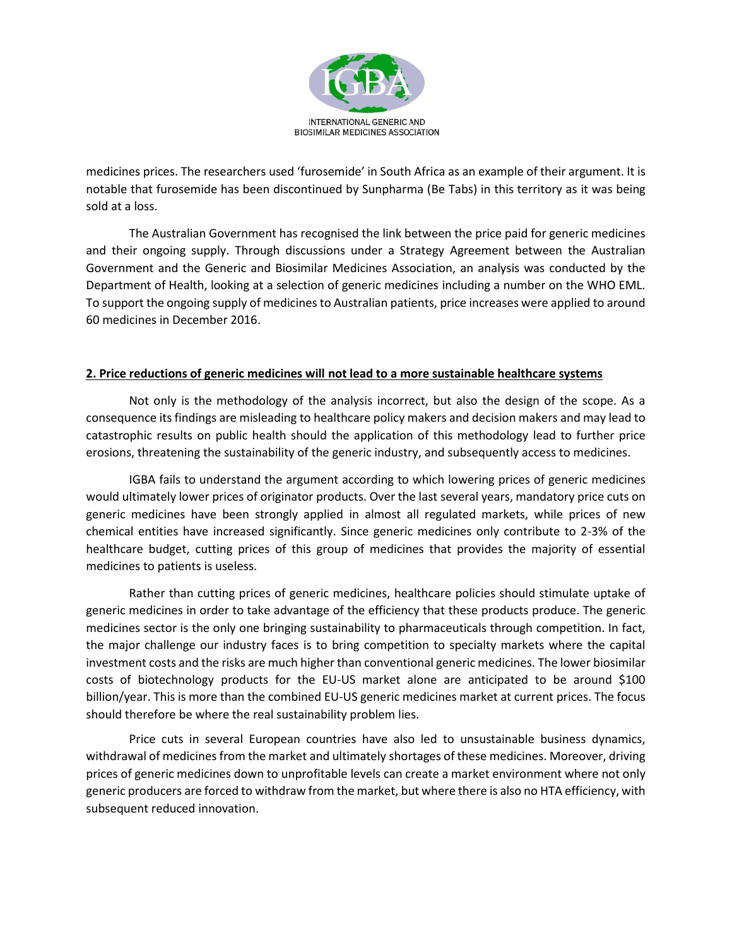

medicines prices. The researchers used 'furosemide' in South Africa as an example of their argument. It is notable that furosemide has been discontinued by Sunpharma (Be Tabs) in this territory as it was being sold at a loss.

The Australian Government has recognised the link between the price paid for generic medicines and their ongoing supply. Through discussions under a Strategy Agreement between the Australian Government and the Generic and Biosimilar Medicines Association, an analysis was conducted by the Department of Health, looking at a selection of generic medicines including a number on the WHO EML. To support the ongoing supply of medicines to Australian patients, price increases were applied to around 60 medicines in December 2016.

## **2. Price reductions of generic medicines will not lead to a more sustainable healthcare systems**

Not only is the methodology of the analysis incorrect, but also the design of the scope. As a consequence its findings are misleading to healthcare policy makers and decision makers and may lead to catastrophic results on public health should the application of this methodology lead to further price erosions, threatening the sustainability of the generic industry, and subsequently access to medicines.

IGBA fails to understand the argument according to which lowering prices of generic medicines would ultimately lower prices of originator products. Over the last several years, mandatory price cuts on generic medicines have been strongly applied in almost all regulated markets, while prices of new chemical entities have increased significantly. Since generic medicines only contribute to 2-3% of the healthcare budget, cutting prices of this group of medicines that provides the majority of essential medicines to patients is useless.

Rather than cutting prices of generic medicines, healthcare policies should stimulate uptake of generic medicines in order to take advantage of the efficiency that these products produce. The generic medicines sector is the only one bringing sustainability to pharmaceuticals through competition. In fact, the major challenge our industry faces is to bring competition to specialty markets where the capital investment costs and the risks are much higher than conventional generic medicines. The lower biosimilar costs of biotechnology products for the EU-US market alone are anticipated to be around \$100 billion/year. This is more than the combined EU-US generic medicines market at current prices. The focus should therefore be where the real sustainability problem lies.

Price cuts in several European countries have also led to unsustainable business dynamics, withdrawal of medicines from the market and ultimately shortages of these medicines. Moreover, driving prices of generic medicines down to unprofitable levels can create a market environment where not only generic producers are forced to withdraw from the market, but where there is also no HTA efficiency, with subsequent reduced innovation.